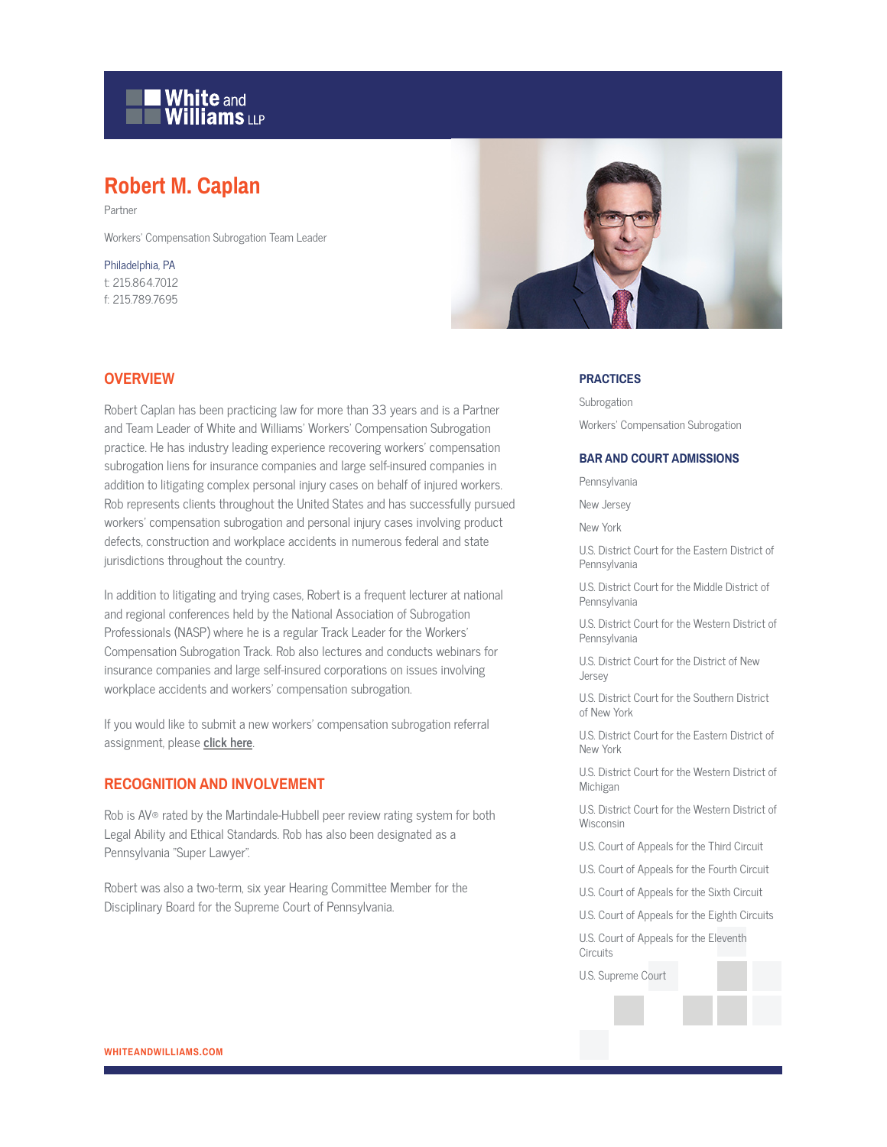# **White and Williams LLP**

# **Robert M. Caplan**

Partner

Workers' Compensation Subrogation Team Leader

Philadelphia, PA t: 215.864.7012 f: 215.789.7695



#### **OVERVIEW**

Robert Caplan has been practicing law for more than 33 years and is a Partner and Team Leader of White and Williams' Workers' Compensation Subrogation practice. He has industry leading experience recovering workers' compensation subrogation liens for insurance companies and large self-insured companies in addition to litigating complex personal injury cases on behalf of injured workers. Rob represents clients throughout the United States and has successfully pursued workers' compensation subrogation and personal injury cases involving product defects, construction and workplace accidents in numerous federal and state jurisdictions throughout the country.

In addition to litigating and trying cases, Robert is a frequent lecturer at national and regional conferences held by the National Association of Subrogation Professionals (NASP) where he is a regular Track Leader for the Workers' Compensation Subrogation Track. Rob also lectures and conducts webinars for insurance companies and large self-insured corporations on issues involving workplace accidents and workers' compensation subrogation.

If you would like to submit a new workers' compensation subrogation referral assignment, please **click here**.

# **RECOGNITION AND INVOLVEMENT**

Rob is AV® rated by the Martindale-Hubbell peer review rating system for both Legal Ability and Ethical Standards. Rob has also been designated as a Pennsylvania "Super Lawyer".

Robert was also a two-term, six year Hearing Committee Member for the Disciplinary Board for the Supreme Court of Pennsylvania.

#### **PRACTICES**

Subrogation Workers' Compensation Subrogation

#### **BAR AND COURT ADMISSIONS**

Pennsylvania

New Jersey

New York

U.S. District Court for the Eastern District of Pennsylvania

U.S. District Court for the Middle District of Pennsylvania

U.S. District Court for the Western District of Pennsylvania

U.S. District Court for the District of New Jersey

U.S. District Court for the Southern District of New York

U.S. District Court for the Eastern District of New York

U.S. District Court for the Western District of Michigan

U.S. District Court for the Western District of Wisconsin

U.S. Court of Appeals for the Third Circuit

U.S. Court of Appeals for the Fourth Circuit

U.S. Court of Appeals for the Sixth Circuit

U.S. Court of Appeals for the Eighth Circuits

U.S. Court of Appeals for the Eleventh **Circuits** 

U.S. Supreme Court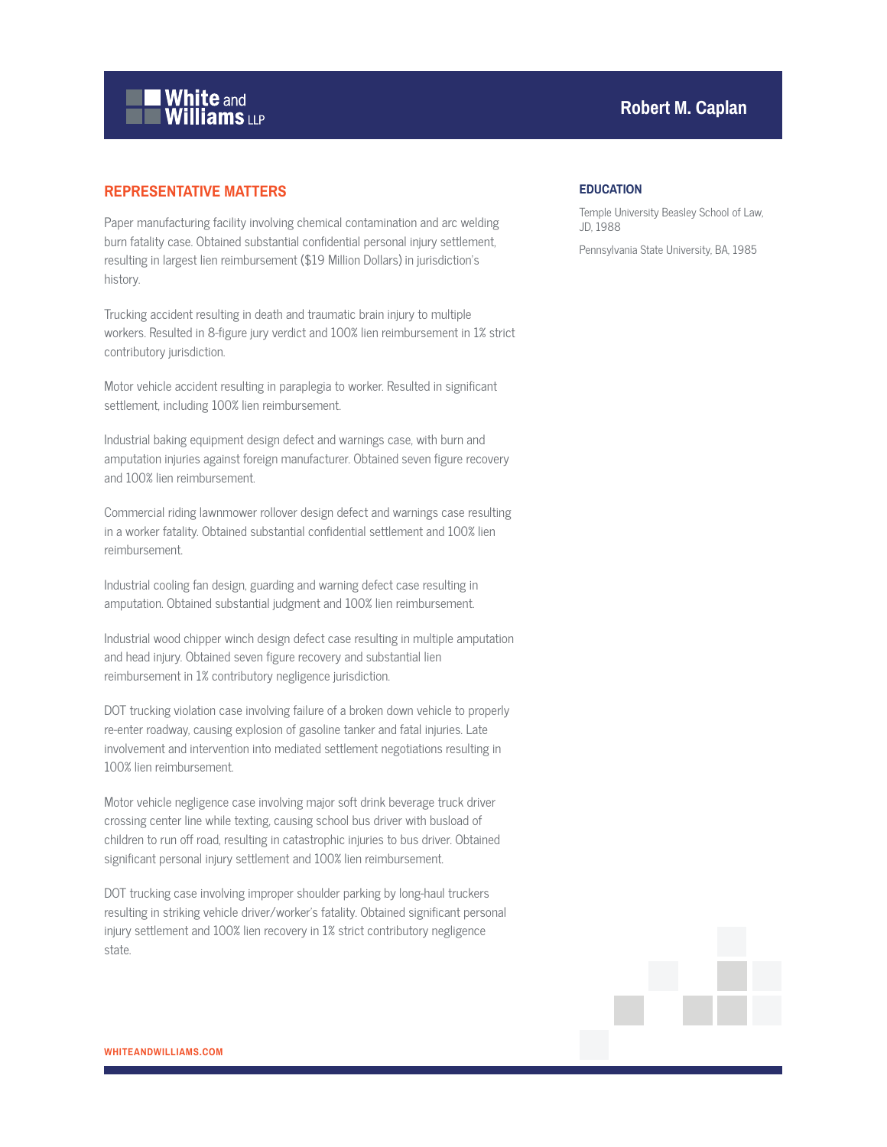

# **REPRESENTATIVE MATTERS**

Paper manufacturing facility involving chemical contamination and arc welding burn fatality case. Obtained substantial confidential personal injury settlement, resulting in largest lien reimbursement (\$19 Million Dollars) in jurisdiction's history.

Trucking accident resulting in death and traumatic brain injury to multiple workers. Resulted in 8-figure jury verdict and 100% lien reimbursement in 1% strict contributory jurisdiction.

Motor vehicle accident resulting in paraplegia to worker. Resulted in significant settlement, including 100% lien reimbursement.

Industrial baking equipment design defect and warnings case, with burn and amputation injuries against foreign manufacturer. Obtained seven figure recovery and 100% lien reimbursement.

Commercial riding lawnmower rollover design defect and warnings case resulting in a worker fatality. Obtained substantial confidential settlement and 100% lien reimbursement.

Industrial cooling fan design, guarding and warning defect case resulting in amputation. Obtained substantial judgment and 100% lien reimbursement.

Industrial wood chipper winch design defect case resulting in multiple amputation and head injury. Obtained seven figure recovery and substantial lien reimbursement in 1% contributory negligence jurisdiction.

DOT trucking violation case involving failure of a broken down vehicle to properly re-enter roadway, causing explosion of gasoline tanker and fatal injuries. Late involvement and intervention into mediated settlement negotiations resulting in 100% lien reimbursement.

Motor vehicle negligence case involving major soft drink beverage truck driver crossing center line while texting, causing school bus driver with busload of children to run off road, resulting in catastrophic injuries to bus driver. Obtained significant personal injury settlement and 100% lien reimbursement.

DOT trucking case involving improper shoulder parking by long-haul truckers resulting in striking vehicle driver/worker's fatality. Obtained significant personal injury settlement and 100% lien recovery in 1% strict contributory negligence state.

# **Robert M. Caplan**

#### **EDUCATION**

Temple University Beasley School of Law, JD, 1988

Pennsylvania State University, BA, 1985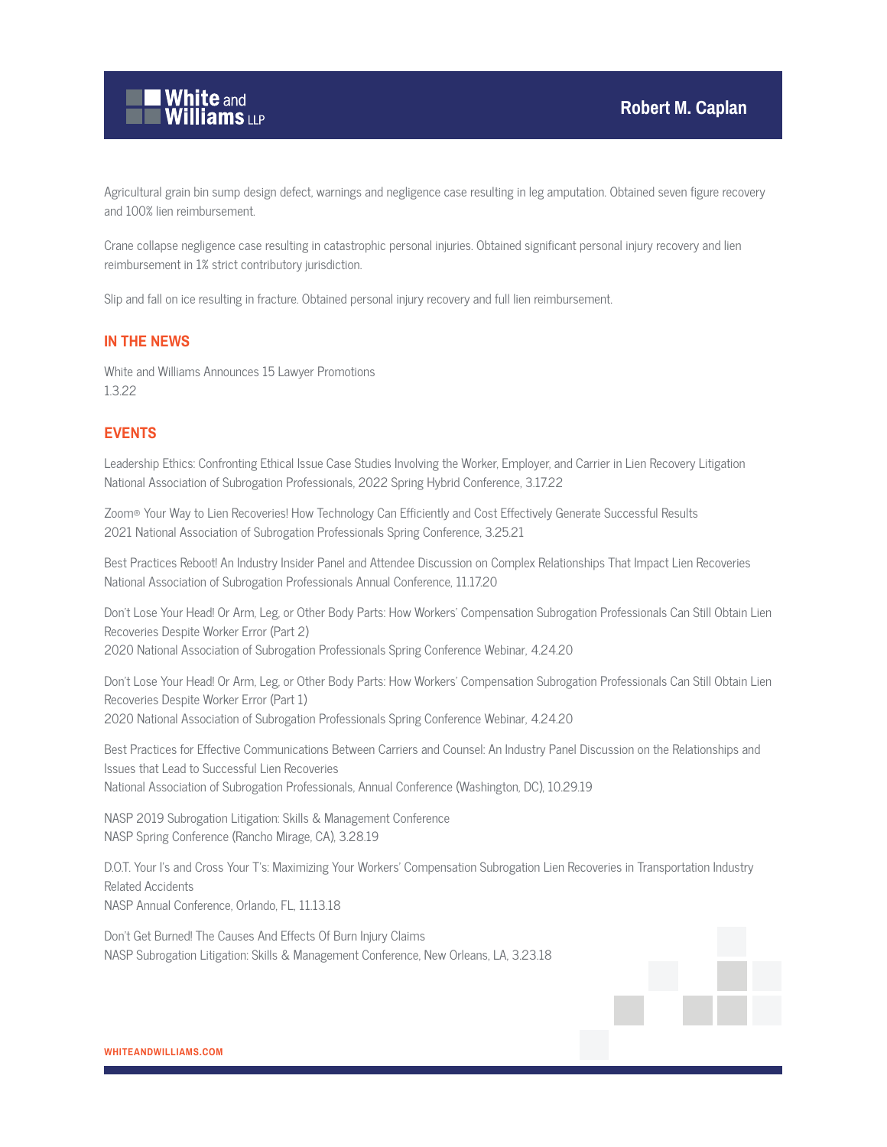

Agricultural grain bin sump design defect, warnings and negligence case resulting in leg amputation. Obtained seven figure recovery and 100% lien reimbursement.

Crane collapse negligence case resulting in catastrophic personal injuries. Obtained significant personal injury recovery and lien reimbursement in 1% strict contributory jurisdiction.

Slip and fall on ice resulting in fracture. Obtained personal injury recovery and full lien reimbursement.

#### **IN THE NEWS**

White and Williams Announces 15 Lawyer Promotions 1.3.22

# **EVENTS**

Leadership Ethics: Confronting Ethical Issue Case Studies Involving the Worker, Employer, and Carrier in Lien Recovery Litigation National Association of Subrogation Professionals, 2022 Spring Hybrid Conference, 3.17.22

Zoom® Your Way to Lien Recoveries! How Technology Can Efficiently and Cost Effectively Generate Successful Results 2021 National Association of Subrogation Professionals Spring Conference, 3.25.21

Best Practices Reboot! An Industry Insider Panel and Attendee Discussion on Complex Relationships That Impact Lien Recoveries National Association of Subrogation Professionals Annual Conference, 11.17.20

Don't Lose Your Head! Or Arm, Leg, or Other Body Parts: How Workers' Compensation Subrogation Professionals Can Still Obtain Lien Recoveries Despite Worker Error (Part 2) 2020 National Association of Subrogation Professionals Spring Conference Webinar, 4.24.20

Don't Lose Your Head! Or Arm, Leg, or Other Body Parts: How Workers' Compensation Subrogation Professionals Can Still Obtain Lien Recoveries Despite Worker Error (Part 1) 2020 National Association of Subrogation Professionals Spring Conference Webinar, 4.24.20

Best Practices for Effective Communications Between Carriers and Counsel: An Industry Panel Discussion on the Relationships and Issues that Lead to Successful Lien Recoveries National Association of Subrogation Professionals, Annual Conference (Washington, DC), 10.29.19

NASP 2019 Subrogation Litigation: Skills & Management Conference NASP Spring Conference (Rancho Mirage, CA), 3.28.19

D.O.T. Your I's and Cross Your T's: Maximizing Your Workers' Compensation Subrogation Lien Recoveries in Transportation Industry Related Accidents NASP Annual Conference, Orlando, FL, 11.13.18

Don't Get Burned! The Causes And Effects Of Burn Injury Claims NASP Subrogation Litigation: Skills & Management Conference, New Orleans, LA, 3.23.18